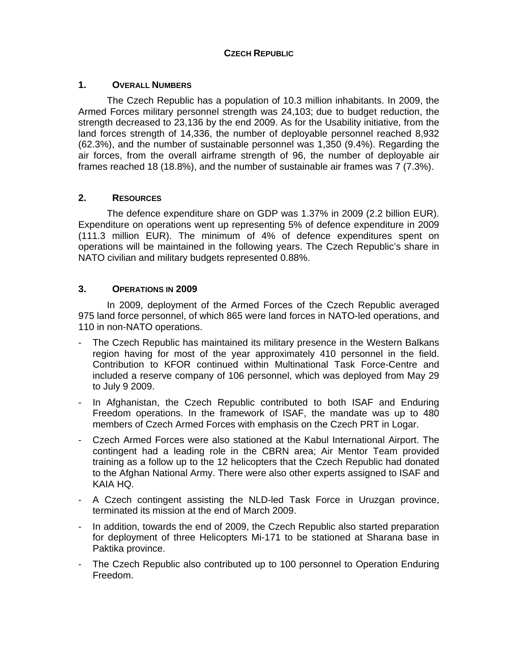# **CZECH REPUBLIC**

## **1. OVERALL NUMBERS**

The Czech Republic has a population of 10.3 million inhabitants. In 2009, the Armed Forces military personnel strength was 24,103; due to budget reduction, the strength decreased to 23,136 by the end 2009. As for the Usability initiative, from the land forces strength of 14,336, the number of deployable personnel reached 8,932 (62.3%), and the number of sustainable personnel was 1,350 (9.4%). Regarding the air forces, from the overall airframe strength of 96, the number of deployable air frames reached 18 (18.8%), and the number of sustainable air frames was 7 (7.3%).

## **2. RESOURCES**

The defence expenditure share on GDP was 1.37% in 2009 (2.2 billion EUR). Expenditure on operations went up representing 5% of defence expenditure in 2009 (111.3 million EUR). The minimum of 4% of defence expenditures spent on operations will be maintained in the following years. The Czech Republic's share in NATO civilian and military budgets represented 0.88%.

#### **3. OPERATIONS IN 2009**

In 2009, deployment of the Armed Forces of the Czech Republic averaged 975 land force personnel, of which 865 were land forces in NATO-led operations, and 110 in non-NATO operations.

- The Czech Republic has maintained its military presence in the Western Balkans region having for most of the year approximately 410 personnel in the field. Contribution to KFOR continued within Multinational Task Force-Centre and included a reserve company of 106 personnel, which was deployed from May 29 to July 9 2009.
- In Afghanistan, the Czech Republic contributed to both ISAF and Enduring Freedom operations. In the framework of ISAF, the mandate was up to 480 members of Czech Armed Forces with emphasis on the Czech PRT in Logar.
- Czech Armed Forces were also stationed at the Kabul International Airport. The contingent had a leading role in the CBRN area; Air Mentor Team provided training as a follow up to the 12 helicopters that the Czech Republic had donated to the Afghan National Army. There were also other experts assigned to ISAF and KAIA HQ.
- A Czech contingent assisting the NLD-led Task Force in Uruzgan province, terminated its mission at the end of March 2009.
- In addition, towards the end of 2009, the Czech Republic also started preparation for deployment of three Helicopters Mi-171 to be stationed at Sharana base in Paktika province.
- The Czech Republic also contributed up to 100 personnel to Operation Enduring Freedom.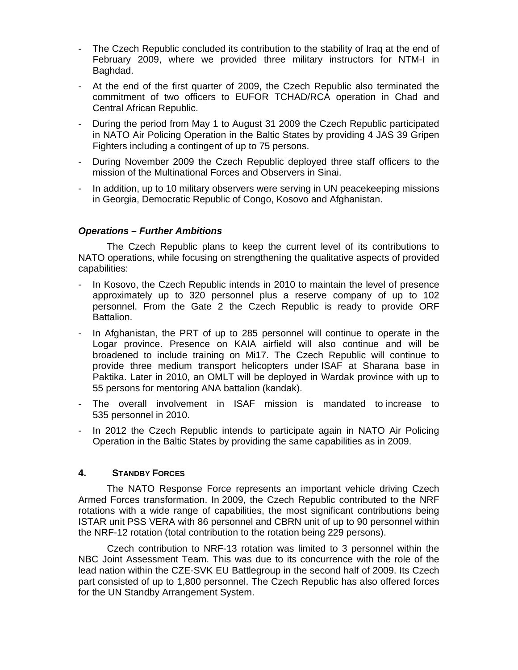- The Czech Republic concluded its contribution to the stability of Iraq at the end of February 2009, where we provided three military instructors for NTM-I in Baghdad.
- At the end of the first quarter of 2009, the Czech Republic also terminated the commitment of two officers to EUFOR TCHAD/RCA operation in Chad and Central African Republic.
- During the period from May 1 to August 31 2009 the Czech Republic participated in NATO Air Policing Operation in the Baltic States by providing 4 JAS 39 Gripen Fighters including a contingent of up to 75 persons.
- During November 2009 the Czech Republic deployed three staff officers to the mission of the Multinational Forces and Observers in Sinai.
- In addition, up to 10 military observers were serving in UN peacekeeping missions in Georgia, Democratic Republic of Congo, Kosovo and Afghanistan.

#### *Operations – Further Ambitions*

The Czech Republic plans to keep the current level of its contributions to NATO operations, while focusing on strengthening the qualitative aspects of provided capabilities:

- In Kosovo, the Czech Republic intends in 2010 to maintain the level of presence approximately up to 320 personnel plus a reserve company of up to 102 personnel. From the Gate 2 the Czech Republic is ready to provide ORF Battalion.
- In Afghanistan, the PRT of up to 285 personnel will continue to operate in the Logar province. Presence on KAIA airfield will also continue and will be broadened to include training on Mi17. The Czech Republic will continue to provide three medium transport helicopters under ISAF at Sharana base in Paktika. Later in 2010, an OMLT will be deployed in Wardak province with up to 55 persons for mentoring ANA battalion (kandak).
- The overall involvement in ISAF mission is mandated to increase to 535 personnel in 2010.
- In 2012 the Czech Republic intends to participate again in NATO Air Policing Operation in the Baltic States by providing the same capabilities as in 2009.

#### **4. STANDBY FORCES**

The NATO Response Force represents an important vehicle driving Czech Armed Forces transformation. In 2009, the Czech Republic contributed to the NRF rotations with a wide range of capabilities, the most significant contributions being ISTAR unit PSS VERA with 86 personnel and CBRN unit of up to 90 personnel within the NRF-12 rotation (total contribution to the rotation being 229 persons).

Czech contribution to NRF-13 rotation was limited to 3 personnel within the NBC Joint Assessment Team. This was due to its concurrence with the role of the lead nation within the CZE-SVK EU Battlegroup in the second half of 2009. Its Czech part consisted of up to 1,800 personnel. The Czech Republic has also offered forces for the UN Standby Arrangement System.